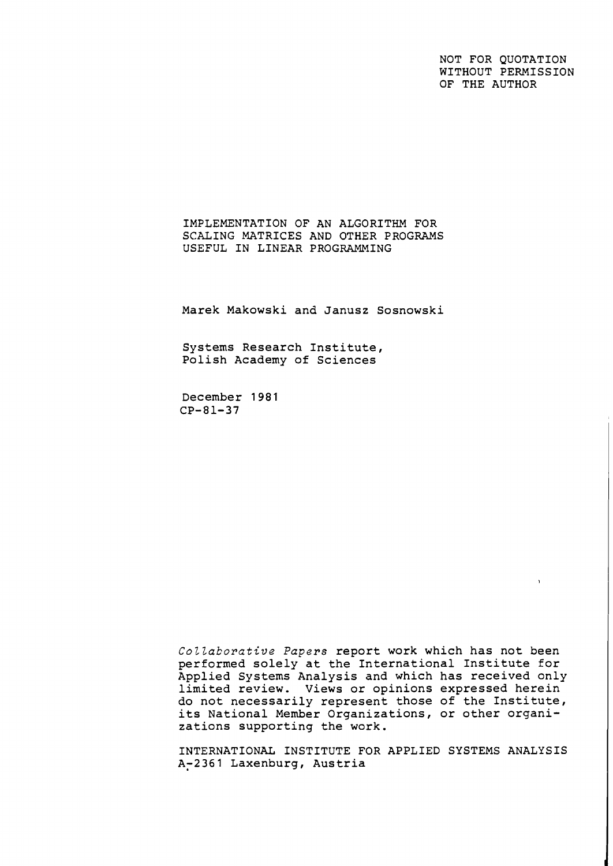NOT FOR QUOTATION WITHOUT PERMISSION OF THE AUTHOR

IMPLEMENTATION OF AN ALGORITHM FOR SCALING MATRICES AND OTHER PROGRAMS USEFUL IN LINEAR PROGRAMMING

Marek Makowski and Janusz Sosnowski

Systems Research Institute, Polish Academy of Sciences

December 1981 CP-81-37

Collaborative Papers report work which has not been performed solely at the International Institute for Applied Systems Analysis and which has received only limited review. Views or opinions expressed herein do not necessarily represent those of the Institute, its National Member Organizations, or other organizations supporting the work.

INTERNATIONAL INSTITUTE FOR APPLIED SYSTEMS ANALYSIS A-2361 Laxenburg, Austria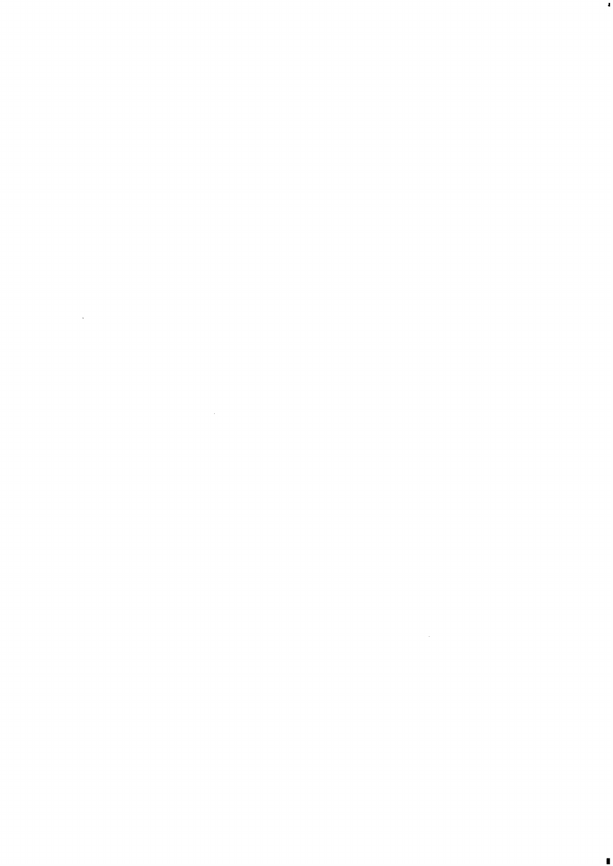$\label{eq:2.1} \frac{1}{\sqrt{2}}\int_{\mathbb{R}^3}\frac{1}{\sqrt{2}}\left(\frac{1}{\sqrt{2}}\right)^2\frac{1}{\sqrt{2}}\left(\frac{1}{\sqrt{2}}\right)^2\frac{1}{\sqrt{2}}\left(\frac{1}{\sqrt{2}}\right)^2.$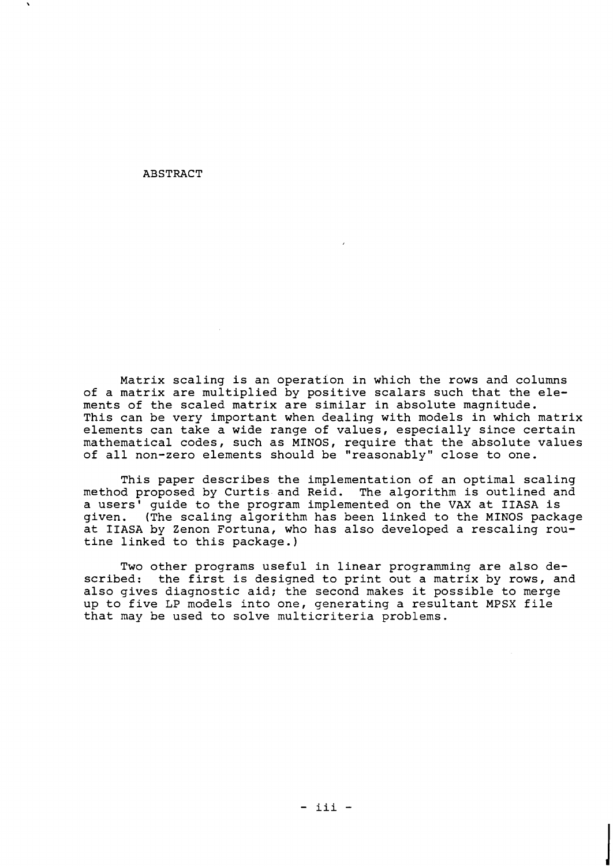ABSTRACT

Matrix scaling is an operation in which the rows and columns of a matrix are multiplied by positive scalars such that the elements of the scaled matrix are similar in absolute magnitude. This can be very important when dealing with models in which matrix elements can take a wide range of values, especially since certain mathematical codes, such as MINOS, require that the absolute values of all non-zero elements should be "reasonably" close to one.

This paper describes the implementation of an optimal scaling method proposed by Curtis.and Reid. The algorithm is outlined and a users' guide to the program implemented on the VAX at IIASA is given. (The scaling algorithm has been linked to the MINOS package at IIASA by Zenon Fortuna, who has also developed a rescaling routine linked to this package.)

Two other programs useful in linear programming are also described: the first is designed to print out a matrix by rows, and also gives diagnostic aid; the second makes it possible to merge up to five LP models into one, generating a resultant MPSX file that may be used to solve multicriteria problems.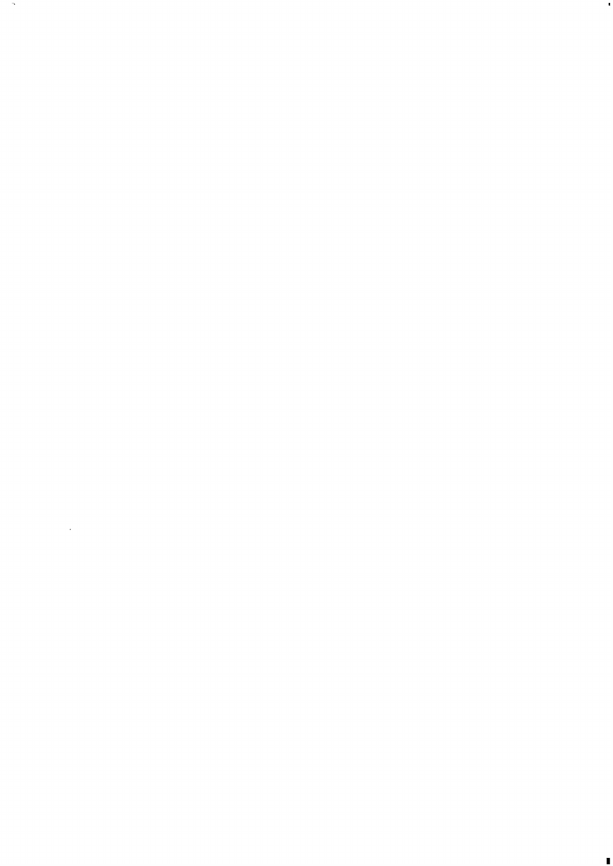$\sim$   $\sim$ 

 $\label{eq:2.1} \frac{1}{\sqrt{2}}\int_{\mathbb{R}^3} \frac{1}{\sqrt{2}}\left(\frac{1}{\sqrt{2}}\right)^2\left(\frac{1}{\sqrt{2}}\right)^2\left(\frac{1}{\sqrt{2}}\right)^2\left(\frac{1}{\sqrt{2}}\right)^2.$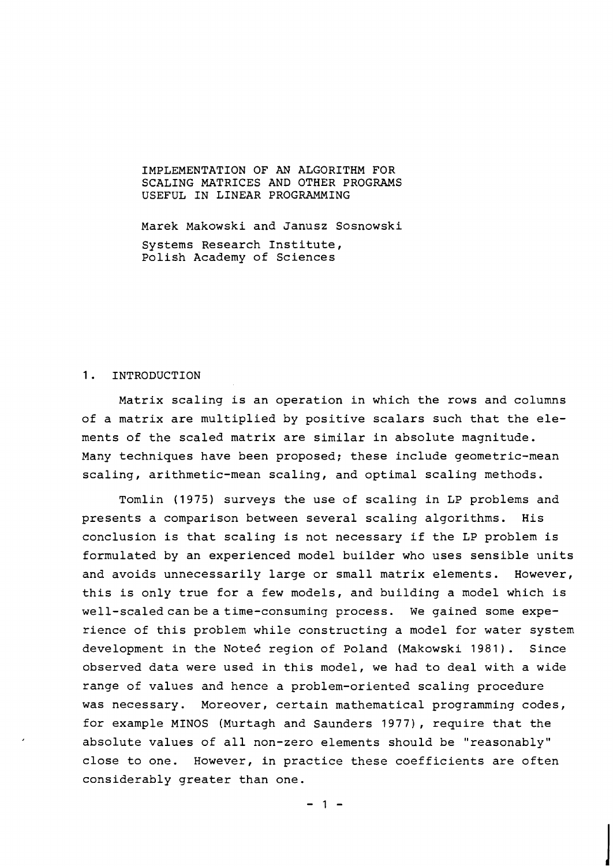IMPLEMENTATION OF AN ALGORITHM FOR SCALING MATRICES AND OTHER PROGRAMS USEFUL IN LINEAR PROGRAMMING

Marek Makowski and Janusz Sosnowski Systems Research Institute, Polish Academy of Sciences

# 1. INTRODUCTION

Matrix scaling is an operation in which the rows and columns of a matrix are multiplied by positive scalars such that the elements of the scaled matrix are similar in absolute magnitude. Many techniques have been proposed; these include geometric-mean scaling, arithmetic-mean scaling, and optimal scaling methods.

Tomlin (1975) surveys the use of scaling in LP problems and presents a comparison between several scaling algorithms. His conclusion is that scaling is not necessary if the LP problem is formulated by an experienced model builder who uses sensible units and avoids unnecessarily large or small matrix elements. However, this is only true for a few models, and building a model which is well-scaled can be a time-consuming process. We gained some experience of this problem while constructing a model for water system development in the Note6 region of Poland (Makowski 1981). Since observed data were used in this model, we had to deal with a wide range of values and hence a problem-oriented scaling procedure was necessary. Moreover, certain mathematical programming codes, for example MINOS (Murtagh and Saunders 1977), require that the absolute values of all non-zero elements should be "reasonably" close to one. However, in practice these coefficients are often considerably greater than one.

 $-1 -$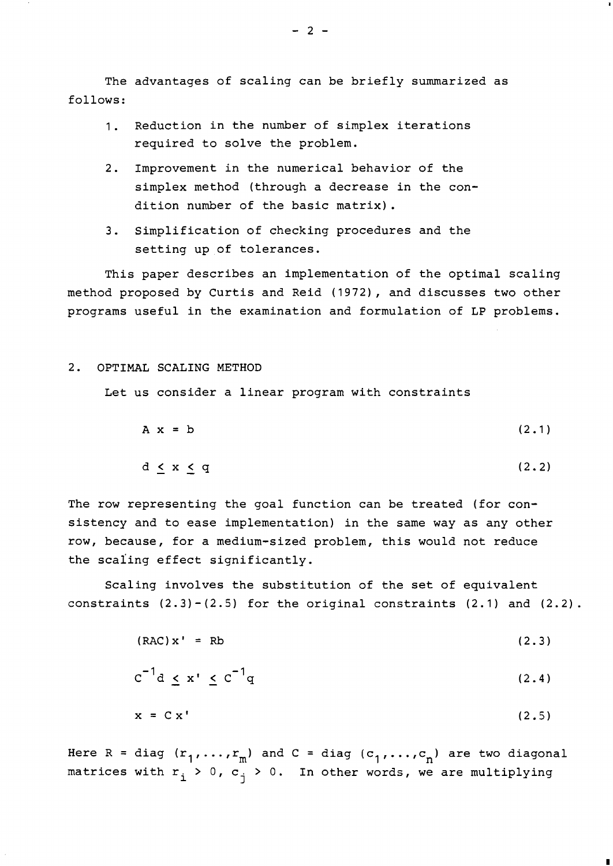The advantages of scaling can be briefly summarized as follows:

- 1. Reduction in the number of simplex iterations required to solve the problem.
- 2. Improvement in the numerical behavior of the simplex method (through a decrease in the condition number of the basic matrix).
- 3. Simplification of checking procedures and the setting up of tolerances.

This paper describes an implementation of the optimal scaling method proposed by Curtis and Reid (1972), and discusses two other programs useful in the examination and formulation of LP problems.

## 2. OPTIMAL SCALING METHOD

Let us consider a linear program with constraints

$$
A \times = b \tag{2.1}
$$

$$
d \leq x \leq q \tag{2.2}
$$

The row representing the goal function can be treated (for consistency and to ease implementation) in the same way as any other row, because, for a medium-sized problem, this would not reduce the scaling effect significantly.

Scaling involves the substitution of the set of equivalent constraints  $(2.3)-(2.5)$  for the original constraints  $(2.1)$  and  $(2.2)$ .

$$
(\text{RAC}) \times \text{I} = \text{Rb} \tag{2.3}
$$

$$
C^{-1}d \le x' \le C^{-1}q \tag{2.4}
$$

$$
x = C x' \tag{2.5}
$$

Here R = diag  $(r_1, \ldots, r_m)$  and C = diag  $(c_1, \ldots, c_n)$  are two diagonal matrices with  $r_i > 0$ ,  $c_i > 0$ . In other words, we are multiplying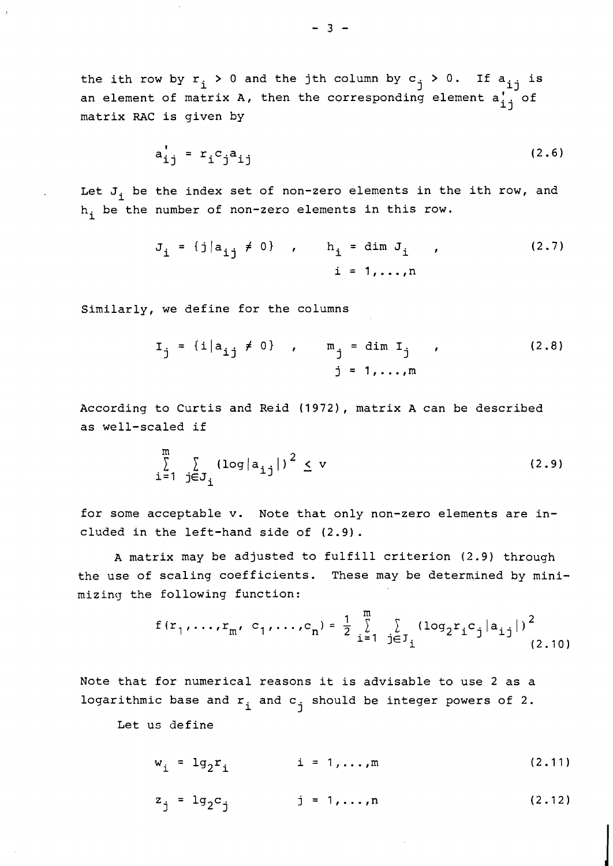the ith row by  $r_i > 0$  and the jth column by  $c_i > 0$ . If  $a_{i,j}$  is an element of matrix A, then the corresponding element  $a_{i,j}$  of matrix RAC is given by

$$
a'_{ij} = r_i c_j a_{ij}
$$
 (2.6)

Let  $J_i$  be the index set of non-zero elements in the ith row, and  $h_i$  be the number of non-zero elements in this row.

$$
J_{i} = \{j|a_{ij} \neq 0\}
$$
,  $h_{i} = \dim J_{i}$ , (2.7)  
 $i = 1,...,n$ 

Similarly, we define for the columns

$$
I_j = \{i | a_{ij} \neq 0\}, \t m_j = \dim I_j \t (2.8)
$$
  

$$
j = 1,...,m
$$

According to Curtis and Reid (1972), matrix A can be described as well-scaled if

$$
\sum_{i=1}^{m} \sum_{j \in J_i} (\log |a_{ij}|)^2 \le v \tag{2.9}
$$

for some acceptable v. Note that only non-zero elements are included in the left-hand side of (2.9) .

A matrix may be adjusted to fulfill criterion (2.9) through the use of scaling coefficients. These may be determined by minimizing the following function:

$$
f(r_1, ..., r_m, c_1, ..., c_n) = \frac{1}{2} \sum_{i=1}^{m} \sum_{j \in J_i} (log_2 r_i c_j |a_{ij}|)^2
$$
 (2.10)

Note that for numerical reasons it is advisable to use 2 as a logarithmic base and  $r_i$  and  $c_i$  should be integer powers of 2.

Let us define

$$
w_i = \lg_2 r_i \qquad i = 1, \ldots, m \qquad (2.11)
$$

$$
z_j = \lg_2 c_j
$$
  $j = 1,...,n$  (2.12)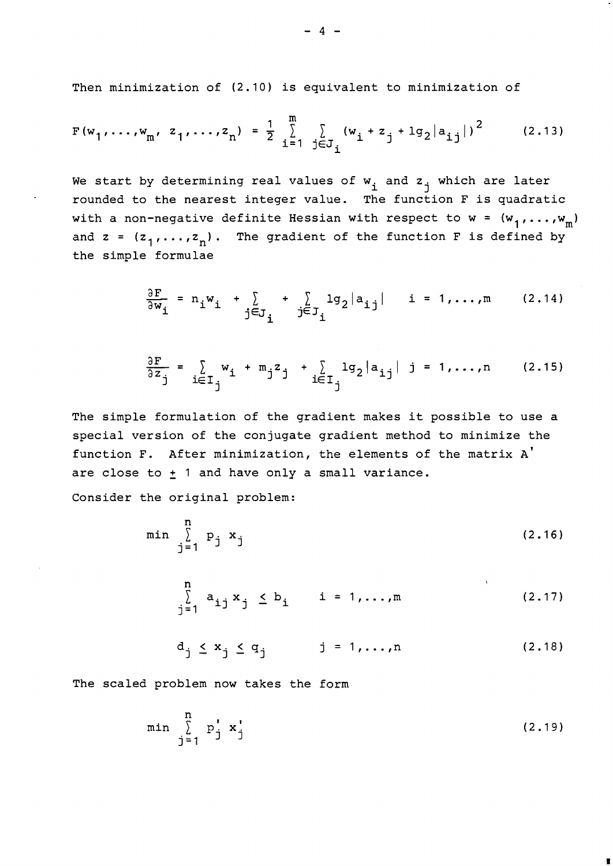Then minimization of (2.10) is equivalent to minimization of

$$
F(w_1, \ldots, w_m, z_1, \ldots, z_n) = \frac{1}{2} \sum_{i=1}^m \sum_{j \in J_i} (w_i + z_j + \log_2 |a_{ij}|)^2
$$
 (2.13)

We start by determining real values of  $w_i$  and  $z_j$  which are later rounded to the nearest integer value. The function F is quadratic with a non-negative definite Hessian with respect to  $w = (w_1, \ldots, w_m)$ and  $z = (z_1, \ldots, z_n)$ . The gradient of the function F is defined by the simple formulae

$$
\frac{\partial F}{\partial w_i} = n_i w_i + \sum_{j \in J_i} + \sum_{j \in J_i} \log_2 |a_{ij}| \quad i = 1,...,m \quad (2.14)
$$

$$
\frac{\partial F}{\partial z_j} = \sum_{i \in I_j} w_i + m_j z_j + \sum_{i \in I_j} 1 g_2 |a_{ij}| j = 1,...,n \qquad (2.15)
$$

The simple formulation of the gradient makes it possible to use a special version of the conjugate gradient method to minimize the function F. After minimization, the elements of the matrix A' are close to  $\pm$  1 and have only a small variance.

Consider the original problem:

$$
\min \sum_{j=1}^{n} P_j x_j \tag{2.16}
$$

$$
\sum_{j=1}^{n} a_{ij} x_j \le b_i \qquad i = 1, ..., m \qquad (2.17)
$$

$$
d_j \le x_j \le q_j \qquad j = 1, \ldots, n \qquad (2.18)
$$

The scaled problem now takes the form

$$
\min \sum_{j=1}^{n} p'_j x'_j
$$
 (2.19)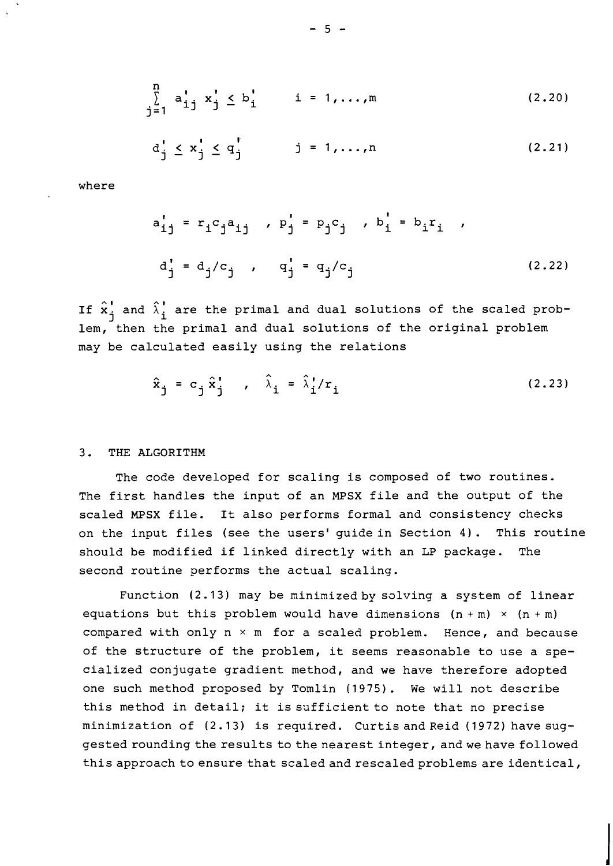$$
\sum_{j=1}^{n} a_{ij}^{'} x_{j}^{'} \leq b_{i}^{'} \qquad i = 1,...,m
$$
 (2.20)

$$
d_j' \le x_j' \le q_j'
$$
  $j = 1,...,n$  (2.21)

where

$$
a'_{ij} = r_i c_j a_{ij} , p'_j = p_j c_j , b'_i = b_i r_i ,
$$
  

$$
d'_j = d_j / c_j , q'_j = q_j / c_j
$$
 (2.22)

If  $\hat{\mathbf{x}}_i^{\dagger}$  and  $\hat{\lambda}_i^{\dagger}$  are the primal and dual solutions of the scaled problem, then the primal and dual solutions of the original problem may be calculated easily using the relations

$$
\hat{\mathbf{x}}_{j} = \mathbf{c}_{j} \hat{\mathbf{x}}_{j}^{\dagger} , \hat{\lambda}_{i} = \hat{\lambda}_{i}^{\dagger}/\mathbf{r}_{i}
$$
 (2.23)

#### 3. THE ALGORITHM

The code developed for scaling is composed of two routines. The first handles the input of an MPSX file and the output of the scaled MPSX file. It also performs formal and consistency checks on the input files (see the users' guide in Section 4). This routine should be modified if linked directly with an LP package. The second routine performs the actual scaling.

Function (2.13) may be minimized by solving a system of linear equations but this problem would have dimensions  $(n + m) \times (n + m)$ compared with only n **x** m for a scaled problem. Fence, and because of the structure of the problem, it seems reasonable to use a specialized conjugate gradient method, and we have therefore adopted one such method proposed by Tomlin (1975). We will not describe this method in detail; it is sufficient to note that no precise minimization of  $(2.13)$  is required. Curtis and Reid (1972) have suggested rounding the results to the nearest integer, and we have followed this approach to ensure that scaled and rescaled problems are identical,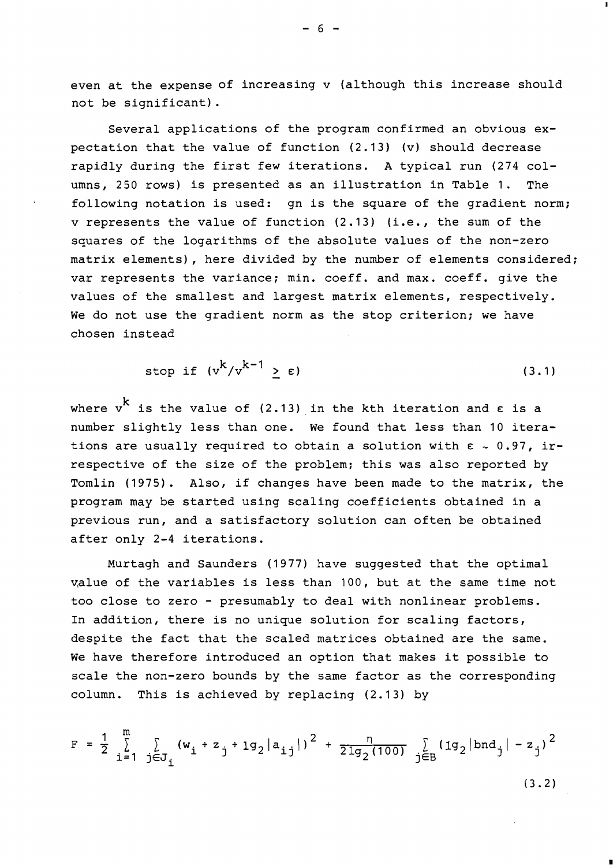even at the expense of increasing v (although this increase should not be significant) .

Several applications of the program confirmed an obvious expectation that the value of function (2.13) (v) should decrease rapidly during the first few iterations. A typical run (274 columns, 250 rows) is presented as an illustration in Table 1. The following notation is used: gn is the square of the gradient norm; v represents the value of function (2.13) (i.e., the sum of the squares of the logarithms of the absolute values of the non-zero matrix elements), here divided by the number of elements considered; var represents the variance; min. coeff. and max. coeff. give the values of the smallest and largest matrix elements, respectively. We do not use the gradient norm as the stop criterion; we have chosen instead

$$
\text{stop if } (v^k/v^{k-1} \ge \varepsilon) \tag{3.1}
$$

where  $v^k$  is the value of  $(2.13)$  in the kth iteration and  $\varepsilon$  is a number slightly less than one. We found that less than 10 iterations are usually required to obtain a solution with  $\varepsilon \sim 0.97$ , irrespective of the size of the problem; this was also reported by Tomlin (1975). Also, if changes have been made to the matrix, the program may be started using scaling coefficients obtained in a previous run, and a satisfactory solution can often be obtained after only 2-4 iterations.

Murtagh and Saunders (1977) have suggested that the optimal yalue of the variables is less than 100, but at the same time not too close to zero - presumably to deal with nonlinear problems. In addition, there is no unique solution for scaling factors, despite the fact that the scaled matrices obtained are the same. We have therefore introduced an option that makes it possible to scale the non-zero bounds by the same factor as the corresponding column. This is achieved by replacing (2.13) by

$$
F = \frac{1}{2} \sum_{i=1}^{m} \sum_{j \in J_i} (w_i + z_j + 1g_2 |a_{ij}|)^2 + \frac{n}{21g_2(100)} \sum_{j \in B} (1g_2 |bnd_j| - z_j)^2
$$
\n(3.2)

 $-6-$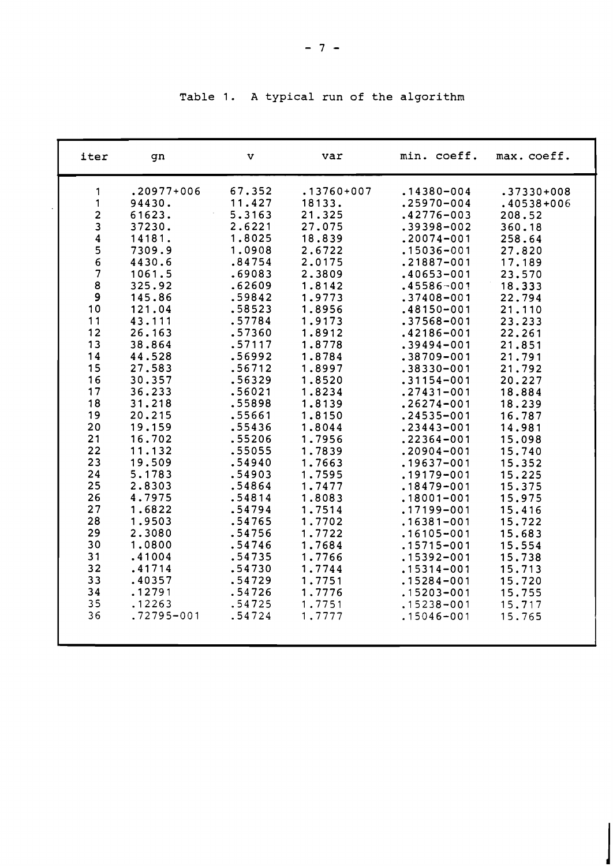|  |  |  |  |  |  |  | Table 1. A typical run of the algorithm |
|--|--|--|--|--|--|--|-----------------------------------------|
|--|--|--|--|--|--|--|-----------------------------------------|

| iter                    | gn           | v      | var        | min. coeff.    | max. coeff.  |
|-------------------------|--------------|--------|------------|----------------|--------------|
| $\mathbf{1}$            | $.20977+006$ | 67.352 | .13760+007 | .14380-004     | $.37330+008$ |
| $\mathbf{1}$            | 94430.       | 11.427 | 18133.     | .25970-004     | $.40538+006$ |
| $\overline{2}$          | 61623.       | 5.3163 | 21.325     | .42776-003     | 208.52       |
| $\overline{\mathbf{3}}$ | 37230.       | 2.6221 | 27.075     | .39398-002     | 360.18       |
| $\boldsymbol{4}$        | 14181.       | 1.8025 | 18.839     | $.20074 - 001$ | 258.64       |
| 5                       | 7309.9       | 1.0908 | 2.6722     | .15036-001     | 27.820       |
| $\overline{6}$          | 4430.6       | .84754 | 2.0175     | .21887-001     | 17.189       |
| $\overline{7}$          | 1061.5       | .69083 | 2.3809     | $.40653 - 001$ | 23.570       |
| 8                       | 325.92       | .62609 | 1.8142     | $.45586 - 001$ | 18.333       |
| 9                       | 145.86       | .59842 | 1.9773     | .37408-001     | 22.794       |
| 10                      | 121.04       | .58523 | 1.8956     | .48150-001     | 21.110       |
| 11                      | 43.111       | .57784 | 1.9173     | .37568-001     | 23.233       |
| 12                      | 26.163       | .57360 | 1.8912     | .42186-001     | 22.261       |
| 13                      | 38.864       | .57117 | 1.8778     | $.39494 - 001$ | 21.851       |
| 14                      | 44.528       | .56992 | 1.8784     | .38709-001     | 21.791       |
| 15                      | 27.583       | .56712 | 1.8997     | $.38330 - 001$ | 21.792       |
| 16                      | 30.357       | .56329 | 1.8520     | $.31154 - 001$ | 20.227       |
| 17                      | 36.233       | .56021 | 1.8234     | $.27431 - 001$ | 18.884       |
| 18                      | 31.218       | .55898 | 1.8139     | $.26274 - 001$ | 18.239       |
| 19                      | 20.215       | .55661 | 1.8150     | .24535-001     | 16.787       |
| 20                      | 19.159       | .55436 | 1.8044     | $.23443 - 001$ | 14.981       |
| 21                      | 16.702       | .55206 | 1.7956     | $.22364 - 001$ | 15.098       |
| 22                      | 11.132       | .55055 | 1.7839     | $.20904 - 001$ | 15.740       |
| 23                      | 19.509       | .54940 | 1.7663     | $.19637 - 001$ | 15.352       |
| 24                      | 5.1783       | .54903 | 1.7595     | .19179-001     | 15.225       |
| 25                      | 2.8303       | .54864 | 1.7477     | .18479-001     | 15.375       |
| 26                      | 4.7975       | .54814 | 1.8083     | $.18001 - 001$ | 15.975       |
| 27                      | 1.6822       | .54794 | 1,7514     | .17199-001     | 15.416       |
| 28                      | 1.9503       | .54765 | 1.7702     | $.16381 - 001$ | 15.722       |
| 29                      | 2.3080       | .54756 | 1.7722     | $.16105 - 001$ | 15.683       |
| 30                      | 1.0800       | .54746 | 1.7684     | .15715-001     | 15.554       |
| 31                      | .41004       | .54735 | 1.7766     | .15392-001     | 15.738       |
| 32                      | .41714       | .54730 | 1.7744     | $.15314 - 001$ | 15.713       |
| 33                      | .40357       | .54729 | 1.7751     | $.15284 - 001$ | 15.720       |
| 34                      | .12791       | .54726 | 1.7776     | $.15203 - 001$ | 15.755       |
| 35                      | .12263       | .54725 | 1.7751     | $.15238 - 001$ | 15.717       |
| 36                      | .72795-001   | .54724 | 1.7777     | $.15046 - 001$ | 15.765       |

**I**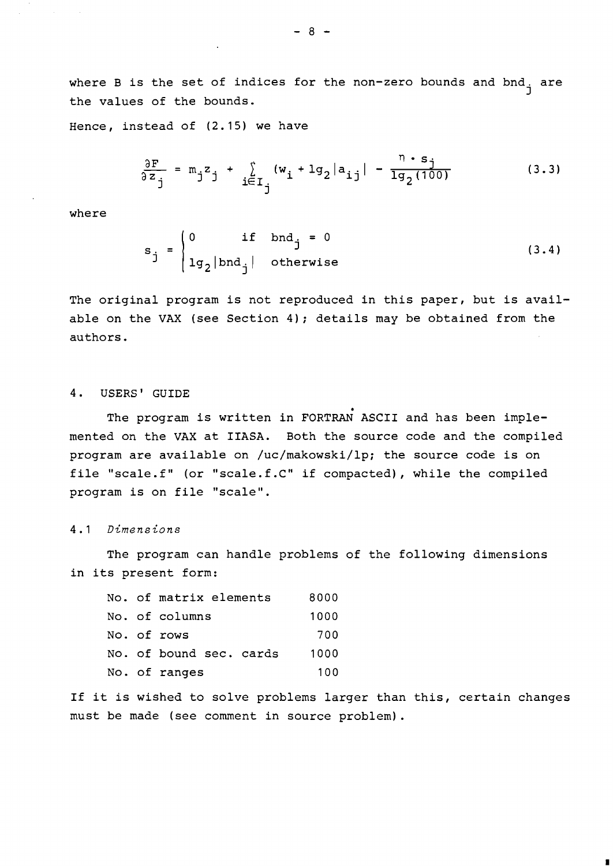where B is the set of indices for the non-zero bounds and bnd<sub>;</sub> are where B is the set of fluites for the hon-zero bounds and bhd<sub>j</sub><br>the values of the bounds.

Hence, instead of (2.15) we have

$$
\frac{\partial F}{\partial z_j} = m_j z_j + \sum_{i \in I_j} (w_i + \log_2 |a_{ij}| - \frac{n \cdot s_j}{\log_2(100)} \tag{3.3}
$$

where

$$
s_j = \begin{cases} 0 & \text{if } bd_j = 0 \\ 1g_2 | bd_j| & \text{otherwise} \end{cases}
$$
 (3.4)

The original program is not reproduced in this paper, but is available on the VAX (see Section 4); details may be obtained from the authors.

#### 4. USERS' GUIDE

The program is written in FORTRAN ASCII and has been implemented on the VAX at IIASA. Both the source code and the compiled program are available on /uc/makowski/lp; the source code is on file "scale.£" (or "sca1e.f.C" if compacted), while the compiled program is on file "scale".

## 4.1 Dimensions

The program can handle problems of the following dimensions in its present form:

|  | No. of matrix elements  | 8000 |
|--|-------------------------|------|
|  | No. of columns          | 1000 |
|  | No. of rows             | 700  |
|  | No. of bound sec. cards | 1000 |
|  | No. of ranges           | 100  |

If it is wished to solve problems larger than this, certain changes must be made (see comment in source problem).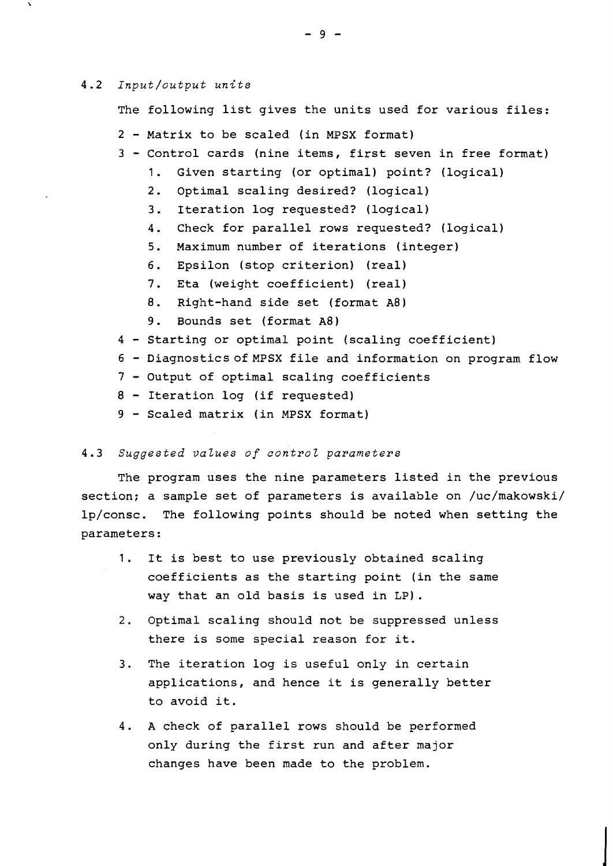# **4.2** ~nput/output units

The following list gives the units used for various files:

- **<sup>2</sup>** Matrix to be scaled (in MPSX format)
- **<sup>3</sup>** Control cards (nine items, first seven in free format)
	- 1. Given starting (or optimal) point? (logical)
	- **2.** Optimal scaling desired? (logical)
	- **3.** Iteration log requested? (logical)
	- **4.** Check for parallel rows requested? (logical)
	- 5. Maximum number of iterations (integer)
	- 6. Epsilon (stop criterion) (real)
	- 7. Eta (weight coefficient) (real)
	- 8. Right-hand side set (format A8)
	- 9. Bounds set (format A8)
- **<sup>4</sup>** Starting or optimal point (scaling coefficient)
- <sup>6</sup> DiagnosticsofMPSX file and information on program flow
- <sup>7</sup> Output of optimal scaling coefficients
- <sup>8</sup> Iteration log (if requested)
- <sup>9</sup> Scaled matrix (in MPSX format)

### **4.3** Suggested values of control parameters

The program uses the nine parameters listed in the previous section; a sample set of parameters is available on /uc/makowski/ lp/consc. The following points should be noted when setting the parameters:

- 1. It is best to use previously obtained scaling coefficients as the starting point (in the same way that an old basis is used in LP).
- 2. Optimal scaling should not be suppressed unless there is some special reason for it.
- **3.** The iteration log is useful only in certain applications, and hence it is generally better to avoid it.
- **4.** A check of parallel rows should be performed only during the first run and after major changes have been made to the problem.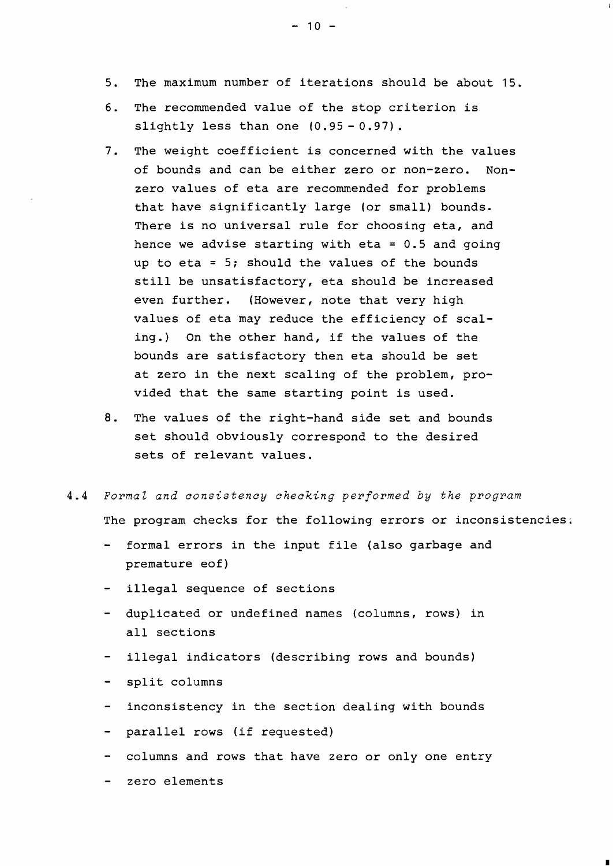- 5. The maximum number of iterations should be about 15.
- 6. The recommended value of the stop criterion is slightly less than one  $(0.95 - 0.97)$ .
- 7. The weight coefficient is concerned with the values of bounds and can be either zero or non-zero. Nonzero values of eta are recommended for problems that have significantly large (or small) bounds. There is no universal rule for choosing eta, and hence we advise starting with eta =  $0.5$  and going up to eta = 5; should the values of the bounds still be unsatisfactory, eta should be increased even further. (However, note that very high values of eta may reduce the efficiency of scaling.) On the other hand, if the values of the bounds are satisfactory then eta should be set at zero in the next scaling of the problem, provided that the same starting point is used.
- 8. The values of the right-hand side set and bounds set should obviously correspond to the desired sets of relevant values.
- *4.4 Formal and consistency checking performed by the program*  The program checks for the following errors or inconsistencies:
	- formal errors in the input file (also garbage and premature eof )
	- illegal sequence of sections
	- duplicated or undefined names (columns, rows) in all sections
	- illegal indicators (describing rows and bounds)
	- split columns
	- inconsistency in the section dealing with bounds
	- parallel rows (if requested)
	- columns and rows that have zero or only one entry
	- zero elements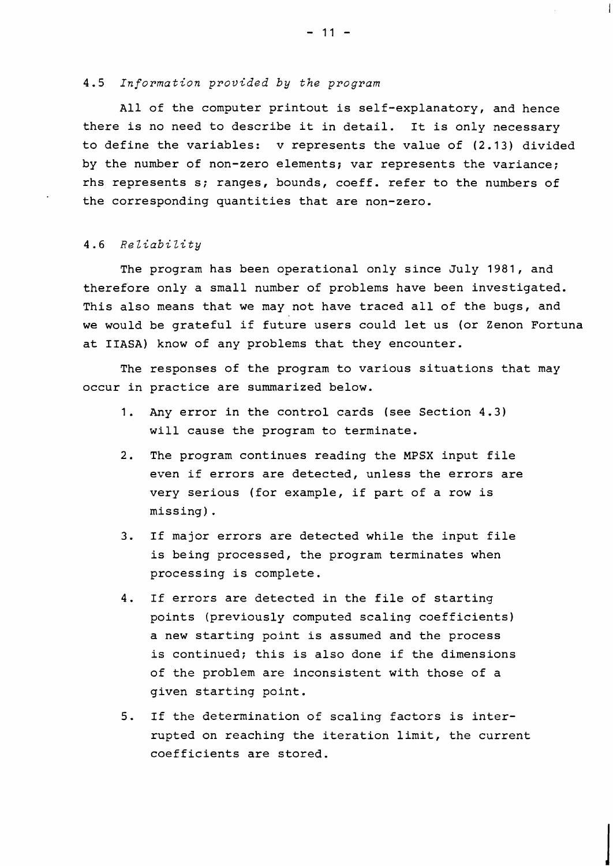4.5 *Information provided by the program* 

All of the computer printout is self-explanatory, and hence there is no need to describe it in detail. It is only necessary to define the variables: v represents the value of (2.13) divided by the number of non-zero elements; var represents the variance; rhs represents s; ranges, bounds, coeff. refer to the numbers of the corresponding quantities that are non-zero.

# 4.6 *Reliability*

The program has been operational only since July 1981, and therefore only a small number of problems have been investigated. This also means that we may not have traced all of the bugs, and we would be grateful if future users could let us (or Zenon Fortuna at IIASA) know of any problems that they encounter.

The responses of the program to various situations that may occur in practice are summarized below.

- 1. Any error in the control cards (see Section 4.3) will cause the program to terminate.
- 2. The program continues reading the MPSX input file even if errors are detected, unless the errors are very serious (for example, if part of a row is missing).
- 3. If major errors are detected while the input file is being processed, the program terminates when processing is complete.
- 4. If errors are detected in the file of starting points (previously computed scaling coefficients) a new starting point is assumed and the process is continued; this is also done if the dimensions of the problem are inconsistent with those of a given starting point.
- 5. If the determination of scaling factors is interrupted on reaching the iteration limit, the current coefficients are stored.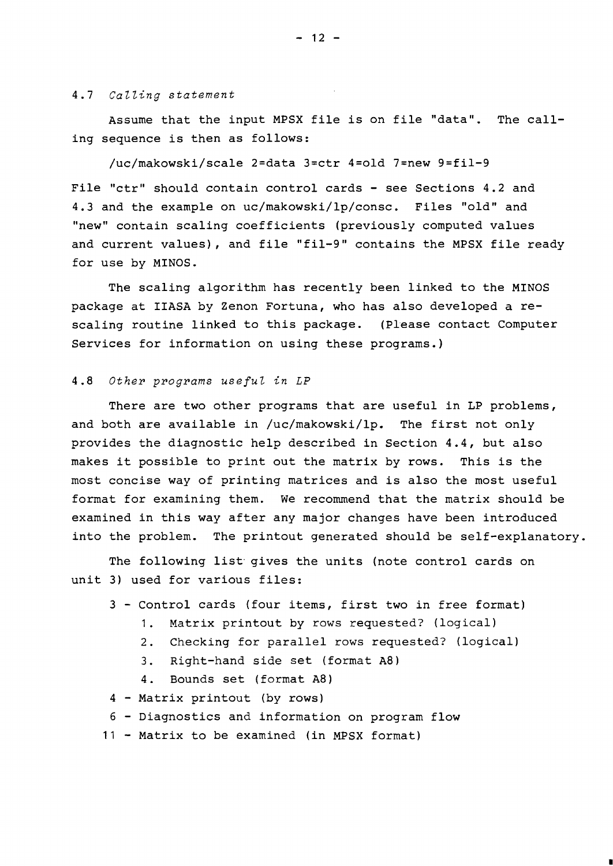#### 4.7 *Calling statement*

Assume that the input MPSX file is on file "data". The calling sequence is then as follows:

/uc/makowski/scale 2=data 3=ctr 4=old 7=new 9=fil-9 File "ctr" should contain control cards - see Sections 4.2 and 4.3 and the example on uc/makowski/lp/consc. Files "old" and "new" contain scaling coefficients (previously computed values and current values), and file "fil-9" contains the MPSX file ready for use by MINOS.

The scaling algorithm has recently been linked to the MINOS package at IIASA by Zenon Fortuna, who has also developed a rescaling routine linked to this package. (Please contact Computer Services for information on using these programs.)

### 4.8 *Other programs useful in LP*

There are two other programs that are useful in LP problems, and both are available in /uc/makowski/lp. The first not only provides the diagnostic help described in Section 4.4, but also makes it possible to print out the matrix by rows. This is the most concise way of printing matrices and is also the most useful format for examining them. We recommend that the matrix should be examined in this way after any major changes have been introduced into the problem. The printout generated should be self-explanatory.

The following list gives the units (note control cards on unit 3) used for various files:

- <sup>3</sup> Control cards (four items, first two in free format)
	- 1. Matrix printout by rows requested? (logical)
	- 2. Checking for parallel rows requested? (logical)
	- 3. Right-hand side set (format A8)
	- 4. Bounds set (format A8)
- <sup>4</sup> Matrix printout (by rows)
- <sup>6</sup> Diagnostics and information on program flow
- 11 Matrix to be examined (in MPSX format)

 $-12 -$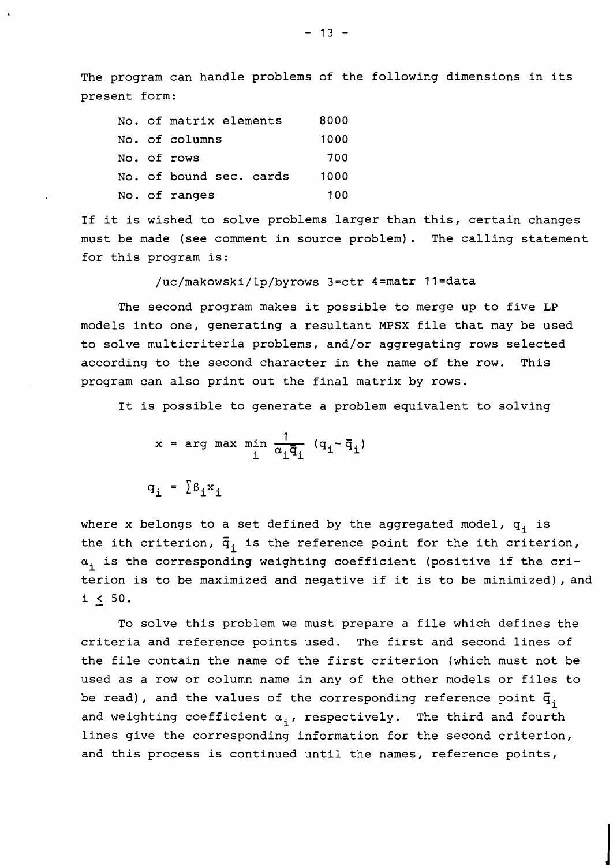The program can handle problems of the following dimensions in its present form:

|  | No. of matrix elements  | 8000 |
|--|-------------------------|------|
|  | No. of columns          | 1000 |
|  | No. of rows             | 700  |
|  | No. of bound sec. cards | 1000 |
|  | No. of ranges           | 100  |

If it is wished to solve problems larger than this, certain changes must be made (see comment in source problem). The calling statement for this program is:

/uc/makowski/lp/byrows 3=ctr 4=matr 11=data

The second program makes it possible to merge up to five LP models into one, generating a resultant MPSX file that may be used to solve multicriteria problems, and/or aggregating rows selected according to the second character in the name of the row. This program can also print out the final matrix by rows.

It is possible to generate a problem equivalent to solving

to the second character in the  
an also print out the final mat  
is possible to generate a profile  

$$
x = \arg \max_{i} \min_{\alpha_i \overline{q}_i} \left( q_i - \overline{q}_i \right)
$$

 $q_i = \sum \beta_i x_i$ 

where x belongs to a set defined by the aggregated model,  $q_i$  is the ith criterion,  $\bar{q}_i$  is the reference point for the ith criterion,  $\alpha_i$  is the corresponding weighting coefficient (positive if the criterion is to be maximized and negative if it is to be minimized), and  $i \leq 50$ .

To solve this problem we must prepare a file which defines the criteria and reference points used. The first and second lines of the file contain the name of the first criterion (which must not be used as a row or column name in any of the other models or files to be read), and the values of the corresponding reference point  $\bar{q}_i$ and weighting coefficient  $\alpha_i$ , respectively. The third and fourth lines give the corresponding information for the second criterion, and this process is continued until the names, reference points,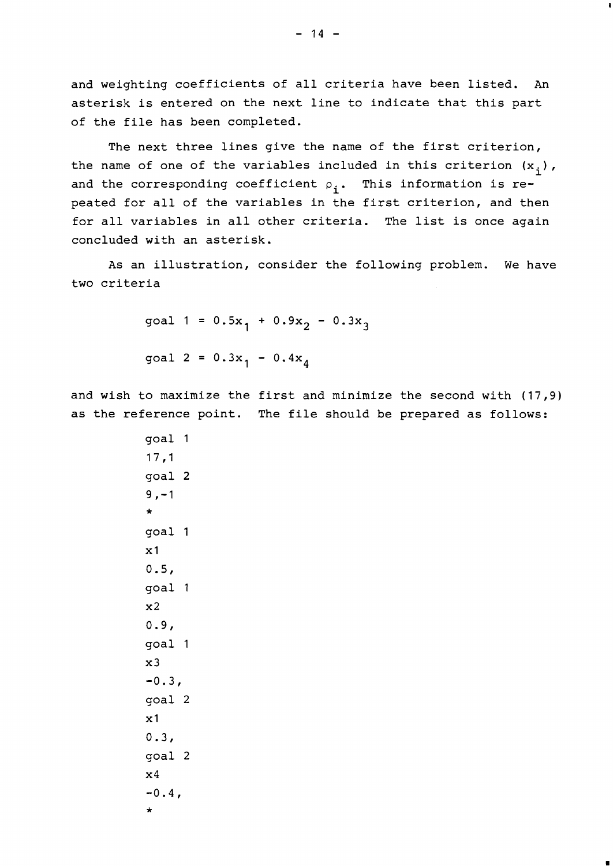and weighting coefficients of all criteria have been listed. An asterisk is entered on the next line to indicate that this part of the file has been completed.

The next three lines give the name of the first criterion, the name of one of the variables included in this criterion  $(x_i)$ , and the corresponding coefficient  $\rho_i$ . This information is repeated for all of the variables in the first criterion, and then for all variables in all other criteria. The list is once again concluded with an asterisk.

As an illustration, consider the following problem. We have two criteria

> goal 1 =  $0.5x_1 + 0.9x_2 - 0.3x_3$ goal 2 =  $0.3x_1 - 0.4x_4$

and wish to maximize the first and minimize the second with (17,9) as the reference point. The file should be prepared as follows:

> goal 1 17,1 goal 2  $9, -1$ \* goal 1 xl 0.5, goal 1 x2 0.9, goal 1 x3  $-0.3,$ goal 2 xl  $0.3,$ goal 2 x4  $-0.4$ , \*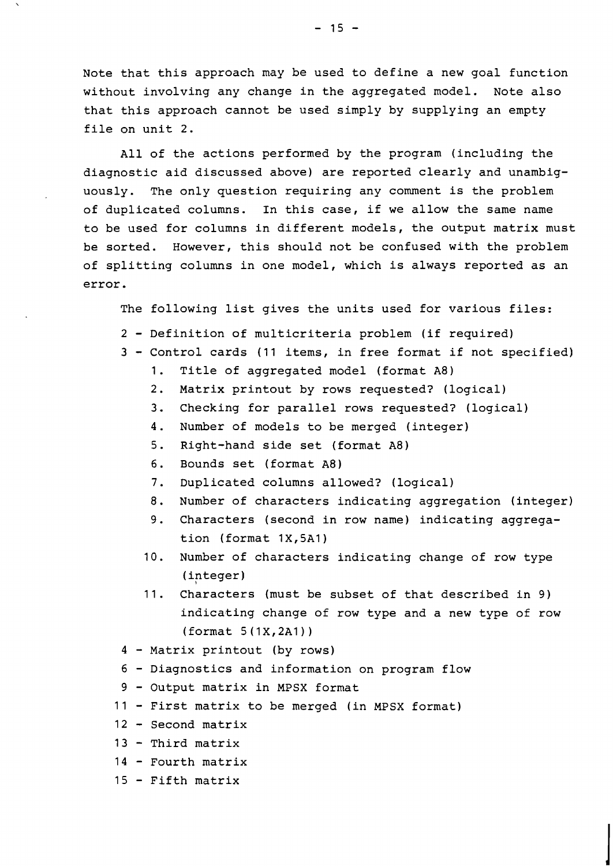Note that this approach may be used to define a new goal function without involving any change in the aggregated model. Note also that this approach cannot be used simply by supplying an empty file on unit 2.

All of the actions performed by the program (including the diagnostic aid discussed above) are reported clearly and unambiguously. The only question requiring any comment is the problem of duplicated columns. In this case, if we allow the same name to be used for columns in different models, the output matrix must be sorted. However, this should not be confused with the problem of splitting columns in one model, which is always reported as an error.

The following list gives the units used for various files:

- <sup>2</sup> Definition of multicriteria problem (if required)
- <sup>3</sup> Control cards (11 items, in free format if not specified)
	- 1. Title of aggregated model (format A8)
	- 2. Matrix printout by rows requested? (logical)
	- 3. Checking for parallel rows requested? (logical)
	- 4. Number of models to be merged (integer)
	- 5. Right-hand side set (format A8)
	- 6. Bounds set (format A8)
	- 7. Duplicated columns allowed? (logical)
	- 8. Number of characters indicating aggregation (integer)
	- 9. Characters (second in row name) indicating aggregation (format 1X,SA1)
	- 10. Number of characters indicating change of row type (integer **<sup>1</sup>**
	- 11. Characters (must be subset of that described in 9) indicating change of row type and a new type of row  $(format 5(1X, 2A1))$
- **<sup>4</sup>** Matrix printout (by rows)
- <sup>6</sup> Diagnostics and information on program flow
- <sup>9</sup> Output matrix in MPSX format
- <sup>11</sup> First matrix to be merged (in MPSX format)
- <sup>12</sup> Second matrix
- $13$  Third matrix
- <sup>14</sup> Fourth matrix
- 15 Fifth matrix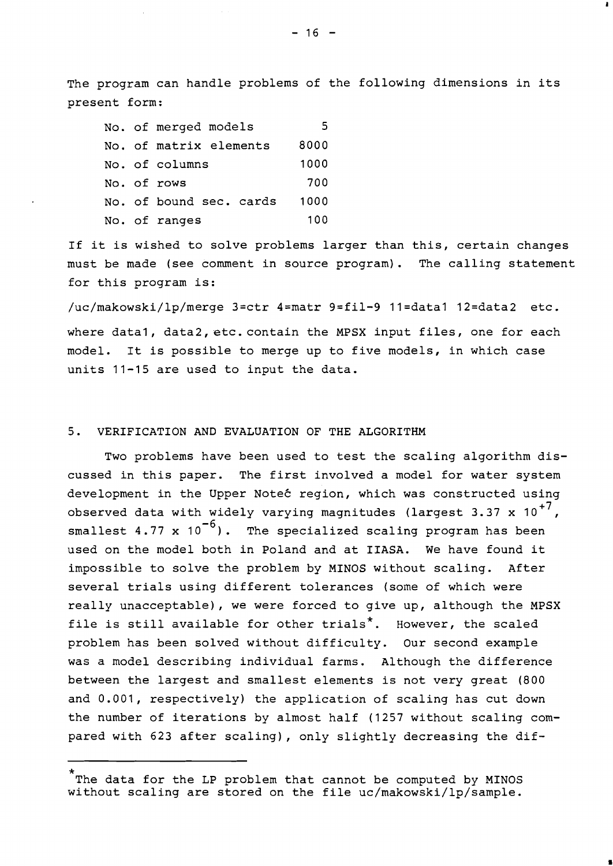The program can handle problems of the following dimensions in its present form:

|  | No. of merged models    | -5   |
|--|-------------------------|------|
|  | No. of matrix elements  | 8000 |
|  | No. of columns          | 1000 |
|  | No. of rows             | 700  |
|  | No. of bound sec. cards | 1000 |
|  | No. of ranges           | 100  |

If it is wished to solve problems larger than this, certain changes must be made (see comment in source program). The calling statement for this program is:

/uc/makowski/lp/merge 3=ctr 4=matr 9=fil-9 ll=datal 12=data2 etc. where data1, data2, etc. contain the MPSX input files, one for each model. It is possible to merge up to five models, in which case units 11-15 are used to input the data.

### 5. VERIFICATION AND EVALUATION OF THE ALGORITHM

Two problems have been used to test the scaling algorithm discussed in this paper. The first involved a model for water system development in the Upper Noteć region, which was constructed using observed data with widely varying magnitudes (largest 3.37 x  $10^{+7}$ , smallest  $4.77 \times 10^{-6}$ ). The specialized scaling program has been used on the model both in Poland and at IIASA. We have found it impossible to solve the problem by MINOS without scaling. After several trials using different tolerances (some of which were really unacceptable), we were forced to give up, although the MPSX file is still available for other trials\*. However, the scaled problem has been solved without difficulty. Our second example was a model describing individual farms. Although the difference between the largest and smallest elements is not very great (800 and 0.001, respectively) the application of scaling has cut down the number of iterations by almost half (1257 without scaling compared with 623 after scaling), only slightly decreasing the dif-

<sup>\*</sup>  The data for the LP problem that cannot be computed by MINOS without scaling are stored on the file uc/makowski/lp/sample.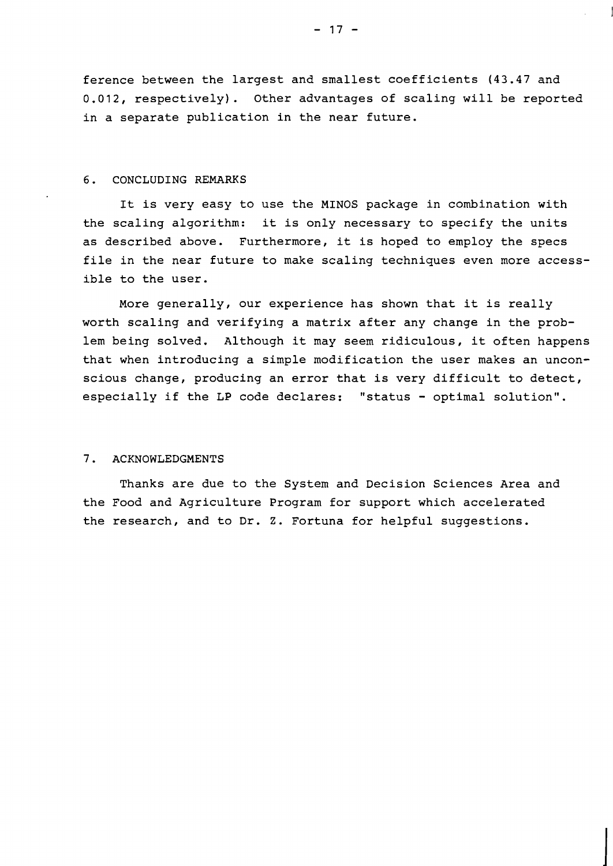ference between the largest and smallest coefficients (43.47 and 0.012, respectively). Other advantages of scaling will be reported in a separate publication in the near future.

### 6. CONCLUDING REMARKS

It is very easy to use the MINOS package in combination with the scaling algorithm: it is only necessary to specify the units as described above. Furthermore, it is hoped to employ the specs file in the near future to make scaling techniques even more accessible to the user.

More generally, our experience has shown that it is really worth scaling and verifying a matrix after any change in the problem being solved. Although it may seem ridiculous, it often happens that when introducing a simple modification the user makes an unconscious change, producing an error that is very difficult to detect, especially if the LP code declares: "status - optimal solution".

# 7. ACKNOWLEDGMENTS

Thanks are due to the System and Decision Sciences Area and the Food and Agriculture Program for support which accelerated the research, and to Dr. Z. Fortuna for helpful suggestions.